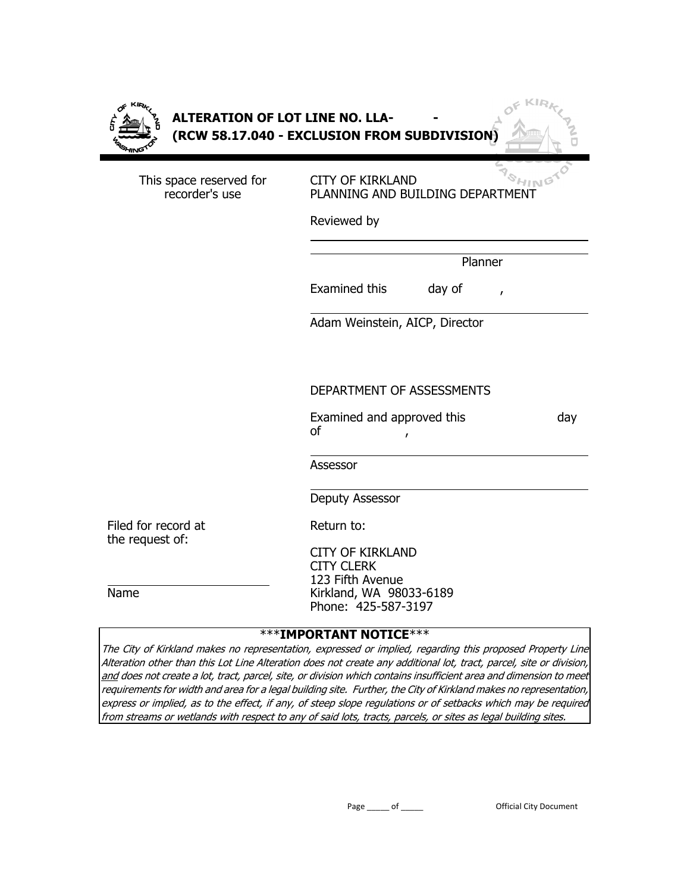|--|

This space reserved for recorder's use

CITY OF KIRKLAND **CITY OF KIRKLAND**<br>PLANNING AND BUILDING DEPARTMENT

Reviewed by

 $\overline{\phantom{a}}$ 

 $\overline{\phantom{a}}$ 

Planner

Examined this day of

Adam Weinstein, AICP, Director

### DEPARTMENT OF ASSESSMENTS

|    | Examined and approved this | day |
|----|----------------------------|-----|
| of |                            |     |

Assessor

 $\overline{\phantom{a}}$ 

Deputy Assessor

Filed for record at the request of:

Return to:

CITY OF KIRKLAND CITY CLERK 123 Fifth Avenue Kirkland, WA 98033-6189 Phone: 425-587-3197

#### $\overline{\phantom{a}}$ Name

### \*\*\***IMPORTANT NOTICE**\*\*\*

The City of Kirkland makes no representation, expressed or implied, regarding this proposed Property Line Alteration other than this Lot Line Alteration does not create any additional lot, tract, parcel, site or division, and does not create a lot, tract, parcel, site, or division which contains insufficient area and dimension to meet requirements for width and area for a legal building site. Further, the City of Kirkland makes no representation, express or implied, as to the effect, if any, of steep slope regulations or of setbacks which may be required from streams or wetlands with respect to any of said lots, tracts, parcels, or sites as legal building sites.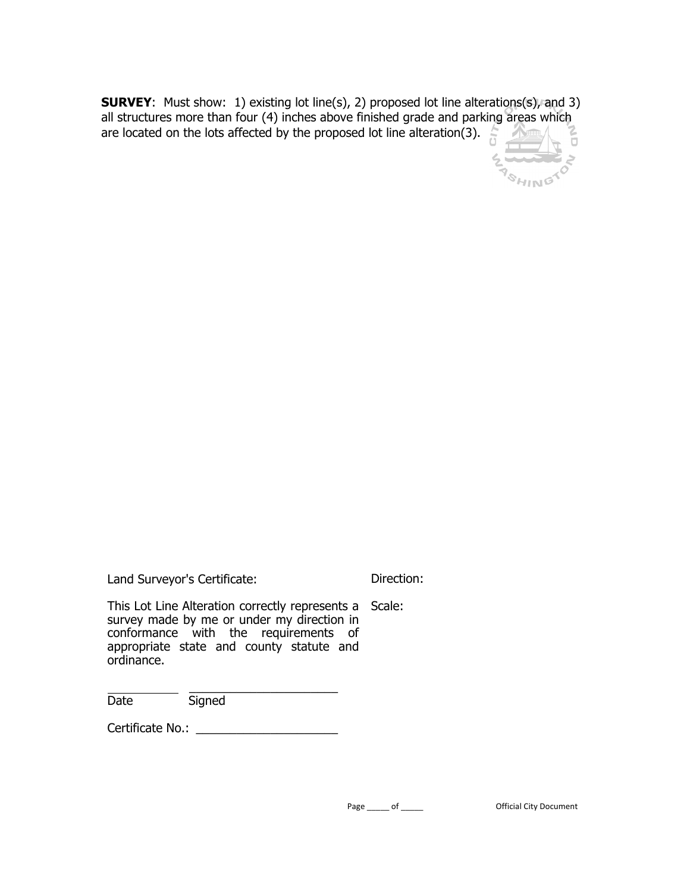**SURVEY**: Must show: 1) existing lot line(s), 2) proposed lot line alterations(s), and 3) all structures more than four (4) inches above finished grade and parking areas which are located on the lots affected by the proposed lot line alteration(3).



| Land Surveyor's Certificate: |                                                                                                                                                                                          |  | Direction: |
|------------------------------|------------------------------------------------------------------------------------------------------------------------------------------------------------------------------------------|--|------------|
| ordinance.                   | This Lot Line Alteration correctly represents a Scale:<br>survey made by me or under my direction in<br>conformance with the requirements of<br>appropriate state and county statute and |  |            |
| Date                         | Signed                                                                                                                                                                                   |  |            |
| Certificate No.:             |                                                                                                                                                                                          |  |            |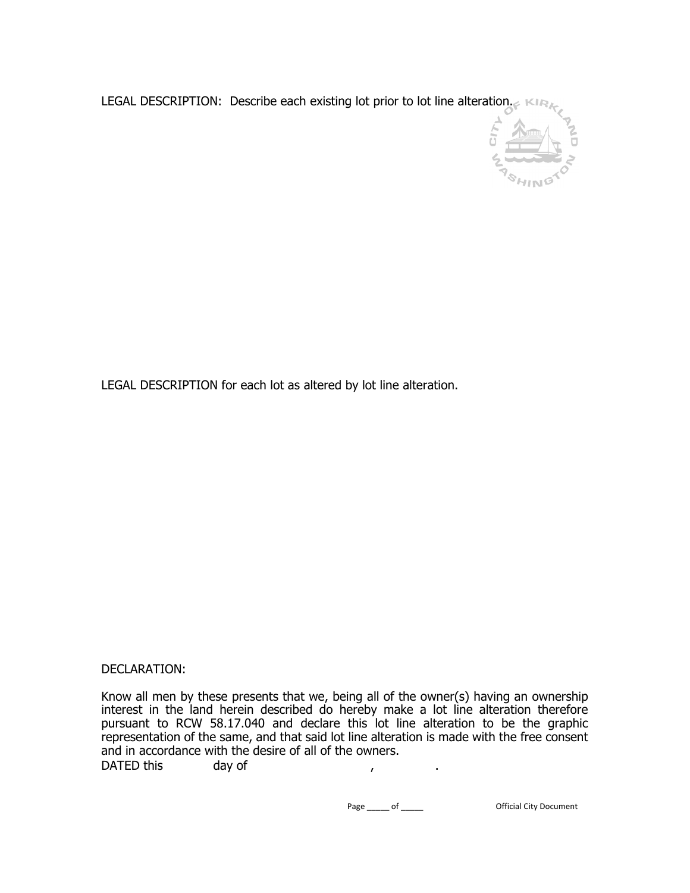LEGAL DESCRIPTION: Describe each existing lot prior to lot line alteration.



LEGAL DESCRIPTION for each lot as altered by lot line alteration.

### DECLARATION:

Know all men by these presents that we, being all of the owner(s) having an ownership interest in the land herein described do hereby make a lot line alteration therefore pursuant to RCW 58.17.040 and declare this lot line alteration to be the graphic representation of the same, and that said lot line alteration is made with the free consent and in accordance with the desire of all of the owners. DATED this day of the state of the state of the day of the state of the state of the state of the state of the state of the state of the state of the state of the state of the state of the state of the state of the state o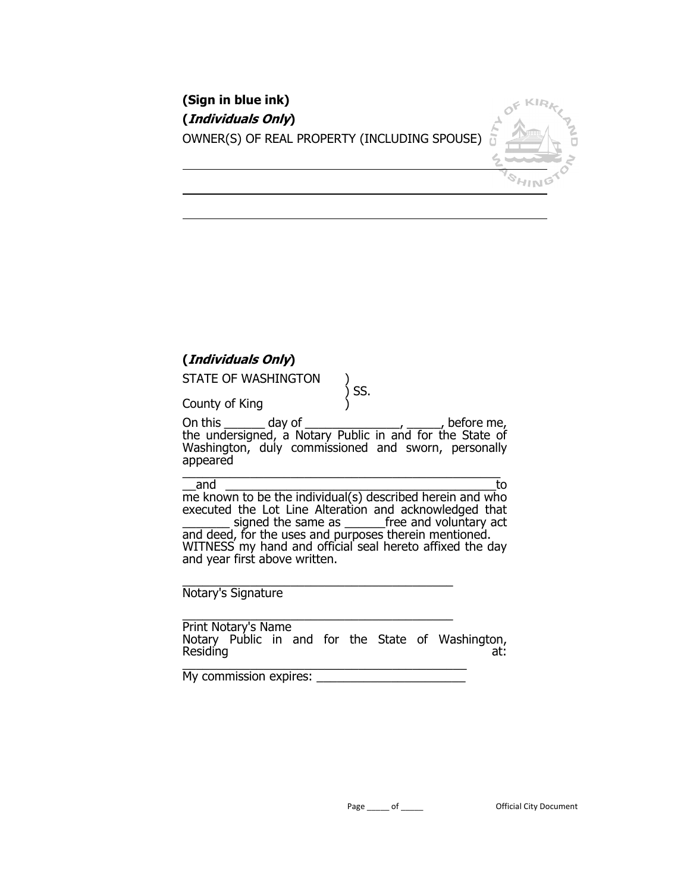| (Sign in blue ink)                           |  |
|----------------------------------------------|--|
| (Individuals Only)                           |  |
| OWNER(S) OF REAL PROPERTY (INCLUDING SPOUSE) |  |

# **(Individuals Only)**

County of King )

STATE OF WASHINGTON

) SS.

On this \_\_\_\_\_\_\_\_ day of \_\_\_\_\_\_\_\_\_\_\_\_\_\_\_\_\_\_\_\_, \_\_\_\_\_\_, before me, the undersigned, a Notary Public in and for the State of Washington, duly commissioned and sworn, personally appeared \_\_\_\_\_\_\_\_\_\_\_\_\_\_\_\_\_\_\_\_\_\_\_\_\_\_\_\_\_\_\_\_\_\_\_\_\_\_\_\_\_\_\_\_\_\_\_

 $\overline{\phantom{a}}$ 

\_\_and \_\_\_\_\_\_\_\_\_\_\_\_\_\_\_\_\_\_\_\_\_\_\_\_\_\_\_\_\_\_\_\_\_\_\_\_\_\_\_\_to me known to be the individual(s) described herein and who executed the Lot Line Alteration and acknowledged that signed the same as **Figure 1** free and voluntary act and deed, for the uses and purposes therein mentioned. WITNESS my hand and official seal hereto affixed the day and year first above written.

\_\_\_\_\_\_\_\_\_\_\_\_\_\_\_\_\_\_\_\_\_\_\_\_\_\_\_\_\_\_\_\_\_\_\_\_\_\_\_\_ Notary's Signature

\_\_\_\_\_\_\_\_\_\_\_\_\_\_\_\_\_\_\_\_\_\_\_\_\_\_\_\_\_\_\_\_\_\_\_\_\_\_\_\_ Print Notary's Name Notary Public in and for the State of Washington, Residing at: the contract of the contract of the contract of the contract of the contract of the contract of the contract of the contract of the contract of the contract of the contract of the contract of the contract of t \_\_\_\_\_\_\_\_\_\_\_\_\_\_\_\_\_\_\_\_\_\_\_\_\_\_\_\_\_\_\_\_\_\_\_\_\_\_\_\_\_\_

My commission expires: \_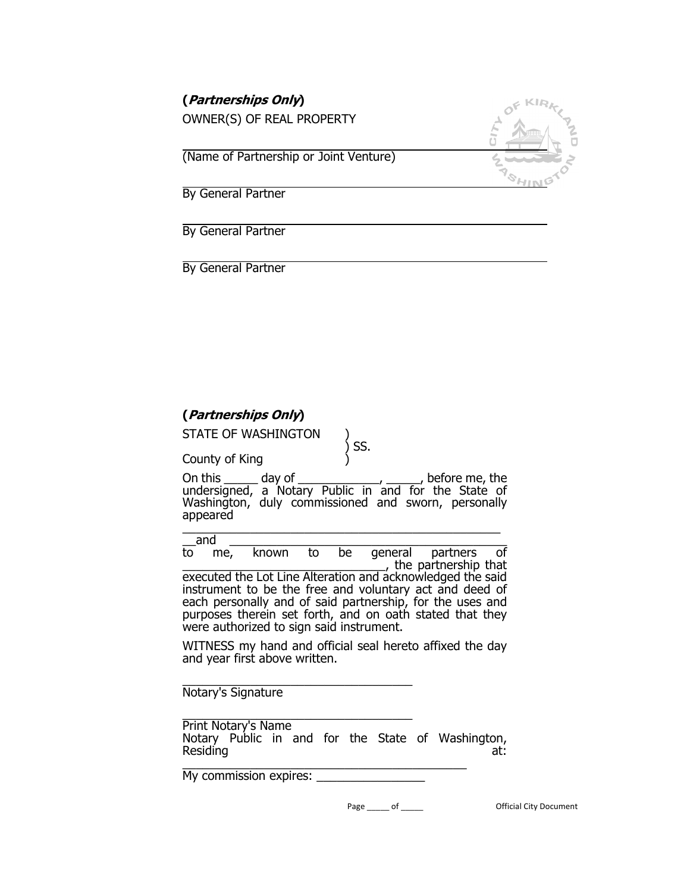| (Partnerships Only)                    |  |
|----------------------------------------|--|
| OWNER(S) OF REAL PROPERTY              |  |
| (Name of Partnership or Joint Venture) |  |
| By General Partner                     |  |

By General Partner

By General Partner

# **(Partnerships Only)**

STATE OF WASHINGTON

County of King )

 $\zeta$  SS.

On this \_\_\_\_\_ day of \_\_\_\_\_\_\_\_\_\_\_\_, \_\_\_\_\_, before me, the undersigned, a Notary Public in and for the State of Washington, duly commissioned and sworn, personally appeared  $\frac{1}{\sqrt{2}}$  ,  $\frac{1}{\sqrt{2}}$  ,  $\frac{1}{\sqrt{2}}$  ,  $\frac{1}{\sqrt{2}}$  ,  $\frac{1}{\sqrt{2}}$  ,  $\frac{1}{\sqrt{2}}$  ,  $\frac{1}{\sqrt{2}}$  ,  $\frac{1}{\sqrt{2}}$  ,  $\frac{1}{\sqrt{2}}$  ,  $\frac{1}{\sqrt{2}}$  ,  $\frac{1}{\sqrt{2}}$  ,  $\frac{1}{\sqrt{2}}$  ,  $\frac{1}{\sqrt{2}}$  ,  $\frac{1}{\sqrt{2}}$  ,  $\frac{1}{\sqrt{2}}$ 

\_\_and \_\_\_\_\_\_\_\_\_\_\_\_\_\_\_\_\_\_\_\_\_\_\_\_\_\_\_\_\_\_\_\_\_\_\_\_\_\_\_\_\_ to me, known to be general partners of \_\_\_\_\_\_\_\_\_\_\_\_\_\_\_\_\_\_\_\_\_\_\_\_\_\_\_\_\_\_, the partnership that executed the Lot Line Alteration and acknowledged the said instrument to be the free and voluntary act and deed of each personally and of said partnership, for the uses and purposes therein set forth, and on oath stated that they were authorized to sign said instrument.

WITNESS my hand and official seal hereto affixed the day and year first above written.

\_\_\_\_\_\_\_\_\_\_\_\_\_\_\_\_\_\_\_\_\_\_\_\_\_\_\_\_\_\_\_\_\_\_ Notary's Signature

\_\_\_\_\_\_\_\_\_\_\_\_\_\_\_\_\_\_\_\_\_\_\_\_\_\_\_\_\_\_\_\_\_\_ Print Notary's Name Notary Public in and for the State of Washington, Residing at: \_\_\_\_\_\_\_\_\_\_\_\_\_\_\_\_\_\_\_\_\_\_\_\_\_\_\_\_\_\_\_\_\_\_\_\_\_\_\_\_\_\_

My commission expires: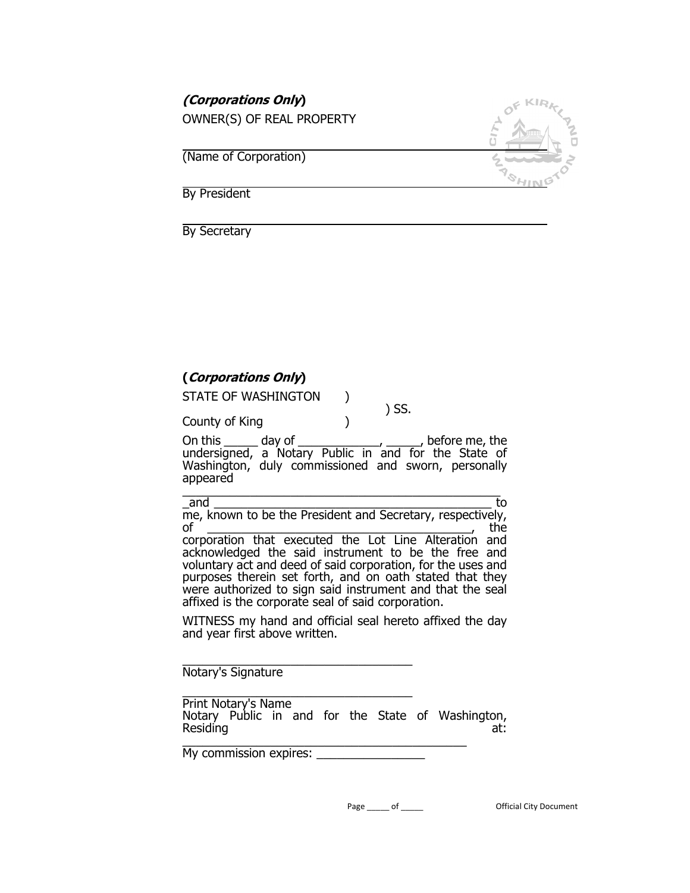| <i>(Corporations Only)</i> |  |
|----------------------------|--|
| OWNER(S) OF REAL PROPERTY  |  |
|                            |  |
| (Name of Corporation)      |  |
|                            |  |
| By President               |  |

By Secretary

### **(Corporations Only)**

County of King )

STATE OF WASHINGTON )

 $\left(\begin{array}{cc} 0 & 0 \ 0 & 0 \end{array}\right)$  SS.

On this \_\_\_\_\_ day of \_\_\_\_\_\_\_\_\_\_\_\_, \_\_\_\_\_, before me, the undersigned, a Notary Public in and for the State of Washington, duly commissioned and sworn, personally appeared  $\frac{1}{\sqrt{2}}$  ,  $\frac{1}{\sqrt{2}}$  ,  $\frac{1}{\sqrt{2}}$  ,  $\frac{1}{\sqrt{2}}$  ,  $\frac{1}{\sqrt{2}}$  ,  $\frac{1}{\sqrt{2}}$  ,  $\frac{1}{\sqrt{2}}$  ,  $\frac{1}{\sqrt{2}}$  ,  $\frac{1}{\sqrt{2}}$  ,  $\frac{1}{\sqrt{2}}$  ,  $\frac{1}{\sqrt{2}}$  ,  $\frac{1}{\sqrt{2}}$  ,  $\frac{1}{\sqrt{2}}$  ,  $\frac{1}{\sqrt{2}}$  ,  $\frac{1}{\sqrt{2}}$ 

\_and \_\_\_\_\_\_\_\_\_\_\_\_\_\_\_\_\_\_\_\_\_\_\_\_\_\_\_\_\_\_\_\_\_\_\_\_\_\_\_\_\_ to me, known to be the President and Secretary, respectively, of \_\_\_\_\_\_\_\_\_\_\_\_\_\_\_\_\_\_\_\_\_\_\_\_\_\_\_\_\_\_\_\_\_\_\_\_\_\_\_, the corporation that executed the Lot Line Alteration and acknowledged the said instrument to be the free and voluntary act and deed of said corporation, for the uses and purposes therein set forth, and on oath stated that they

were authorized to sign said instrument and that the seal affixed is the corporate seal of said corporation. WITNESS my hand and official seal hereto affixed the day

\_\_\_\_\_\_\_\_\_\_\_\_\_\_\_\_\_\_\_\_\_\_\_\_\_\_\_\_\_\_\_\_\_\_ Notary's Signature

and year first above written.

\_\_\_\_\_\_\_\_\_\_\_\_\_\_\_\_\_\_\_\_\_\_\_\_\_\_\_\_\_\_\_\_\_\_ Print Notary's Name Notary Public in and for the State of Washington, Residing at: \_\_\_\_\_\_\_\_\_\_\_\_\_\_\_\_\_\_\_\_\_\_\_\_\_\_\_\_\_\_\_\_\_\_\_\_\_\_\_\_\_\_

My commission expires: \_\_\_\_\_\_\_\_\_\_\_\_\_\_\_\_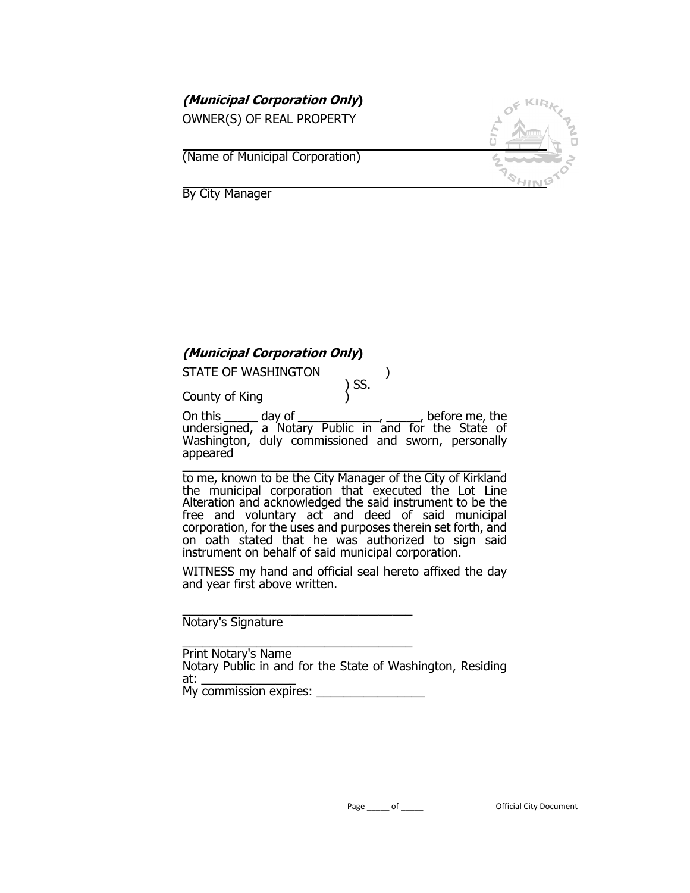**(Municipal Corporation Only)** 

OWNER(S) OF REAL PROPERTY

 $\overline{a}$ (Name of Municipal Corporation)



 $\overline{\phantom{a}}$ By City Manager

# **(Municipal Corporation Only)**

STATE OF WASHINGTON (1)

) SS.

County of King )

On this \_\_\_\_\_ day of \_\_\_\_\_\_\_\_\_\_\_\_, \_\_\_\_\_, before me, the undersigned, a Notary Public in and for the State of Washington, duly commissioned and sworn, personally appeared

\_\_\_\_\_\_\_\_\_\_\_\_\_\_\_\_\_\_\_\_\_\_\_\_\_\_\_\_\_\_\_\_\_\_\_\_\_\_\_\_\_\_\_\_\_\_\_ to me, known to be the City Manager of the City of Kirkland the municipal corporation that executed the Lot Line Alteration and acknowledged the said instrument to be the free and voluntary act and deed of said municipal corporation, for the uses and purposes therein set forth, and on oath stated that he was authorized to sign said instrument on behalf of said municipal corporation.

WITNESS my hand and official seal hereto affixed the day and year first above written.

\_\_\_\_\_\_\_\_\_\_\_\_\_\_\_\_\_\_\_\_\_\_\_\_\_\_\_\_\_\_\_\_\_\_ Notary's Signature

\_\_\_\_\_\_\_\_\_\_\_\_\_\_\_\_\_\_\_\_\_\_\_\_\_\_\_\_\_\_\_\_\_\_ Print Notary's Name Notary Public in and for the State of Washington, Residing at: My commission expires: